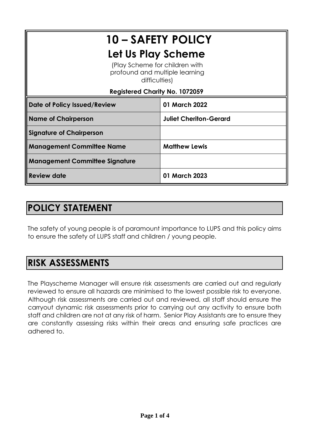# **10 – SAFETY POLICY Let Us Play Scheme** (Play Scheme for children with profound and multiple learning difficulties) **Registered Charity No. 1072059 Date of Policy Issued/Review 01 March 2022 Name of Chairperson Juliet Cheriton-Gerard Signature of Chairperson Management Committee Name Matthew Lewis Management Committee Signature Review date 01 March 2023**

## **POLICY STATEMENT**

The safety of young people is of paramount importance to LUPS and this policy aims to ensure the safety of LUPS staff and children / young people.

### **RISK ASSESSMENTS**

The Playscheme Manager will ensure risk assessments are carried out and regularly reviewed to ensure all hazards are minimised to the lowest possible risk to everyone. Although risk assessments are carried out and reviewed, all staff should ensure the carryout dynamic risk assessments prior to carrying out any activity to ensure both staff and children are not at any risk of harm. Senior Play Assistants are to ensure they are constantly assessing risks within their areas and ensuring safe practices are adhered to.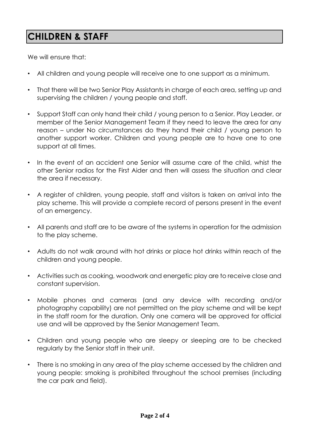### **CHILDREN & STAFF**

We will ensure that:

- All children and young people will receive one to one support as a minimum.
- That there will be two Senior Play Assistants in charge of each area, setting up and supervising the children / young people and staff.
- Support Staff can only hand their child / young person to a Senior. Play Leader, or member of the Senior Management Team if they need to leave the area for any reason – under No circumstances do they hand their child / young person to another support worker. Children and young people are to have one to one support at all times.
- In the event of an accident one Senior will assume care of the child, whist the other Senior radios for the First Aider and then will assess the situation and clear the area if necessary.
- A register of children, young people, staff and visitors is taken on arrival into the play scheme. This will provide a complete record of persons present in the event of an emergency.
- All parents and staff are to be aware of the systems in operation for the admission to the play scheme.
- Adults do not walk around with hot drinks or place hot drinks within reach of the children and young people.
- Activities such as cooking, woodwork and energetic play are to receive close and constant supervision.
- Mobile phones and cameras (and any device with recording and/or photography capability) are not permitted on the play scheme and will be kept in the staff room for the duration. Only one camera will be approved for official use and will be approved by the Senior Management Team.
- Children and young people who are sleepy or sleeping are to be checked regularly by the Senior staff in their unit.
- There is no smoking in any area of the play scheme accessed by the children and young people: smoking is prohibited throughout the school premises (including the car park and field).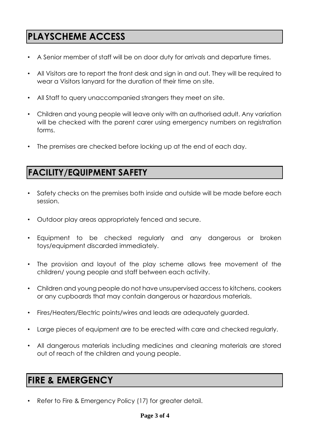### **PLAYSCHEME ACCESS**

- A Senior member of staff will be on door duty for arrivals and departure times.
- All Visitors are to report the front desk and sign in and out. They will be required to wear a Visitors lanyard for the duration of their time on site.
- All Staff to query unaccompanied strangers they meet on site.
- Children and young people will leave only with an authorised adult. Any variation will be checked with the parent carer using emergency numbers on registration forms.
- The premises are checked before locking up at the end of each day.

#### **FACILITY/EQUIPMENT SAFETY**

- Safety checks on the premises both inside and outside will be made before each session.
- Outdoor play areas appropriately fenced and secure.
- Equipment to be checked regularly and any dangerous or broken toys/equipment discarded immediately.
- The provision and layout of the play scheme allows free movement of the children/ young people and staff between each activity.
- Children and young people do not have unsupervised access to kitchens, cookers or any cupboards that may contain dangerous or hazardous materials.
- Fires/Heaters/Electric points/wires and leads are adequately guarded.
- Large pieces of equipment are to be erected with care and checked regularly.
- All dangerous materials including medicines and cleaning materials are stored out of reach of the children and young people.

#### **FIRE & EMERGENCY**

Refer to Fire & Emergency Policy (17) for greater detail.